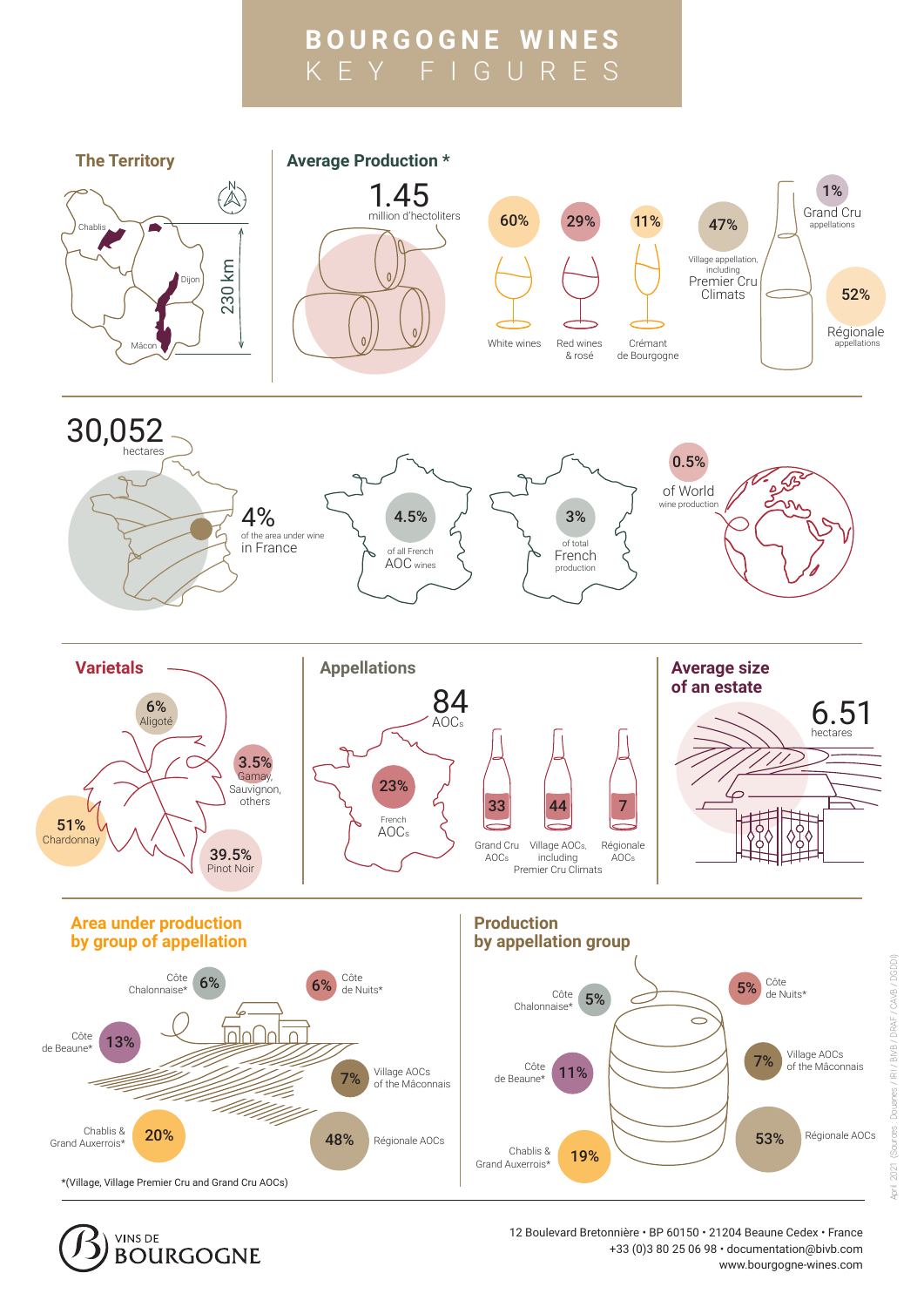## **BOURGOGNE WINES** KEY FIGURES





12 Boulevard Bretonnière · BP 60150 · 21204 Beaune Cedex · France +33 (0)3 80 25 06 98 · documentation@bivb.com www.bourgogne-wines.com